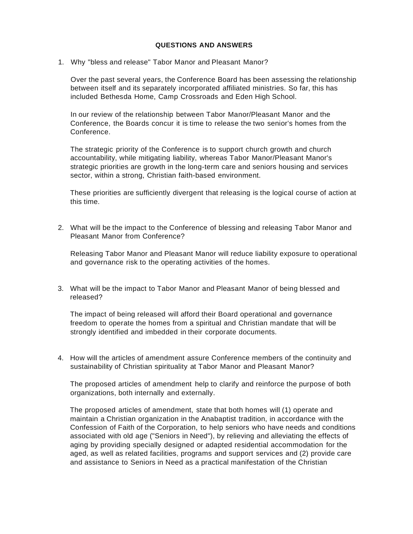## **QUESTIONS AND ANSWERS**

1. Why "bless and release" Tabor Manor and Pleasant Manor?

Over the past several years, the Conference Board has been assessing the relationship between itself and its separately incorporated affiliated ministries. So far, this has included Bethesda Home, Camp Crossroads and Eden High School.

In our review of the relationship between Tabor Manor/Pleasant Manor and the Conference, the Boards concur it is time to release the two senior's homes from the Conference.

The strategic priority of the Conference is to support church growth and church accountability, while mitigating liability, whereas Tabor Manor/Pleasant Manor's strategic priorities are growth in the long-term care and seniors housing and services sector, within a strong, Christian faith-based environment.

These priorities are sufficiently divergent that releasing is the logical course of action at this time.

2. What will be the impact to the Conference of blessing and releasing Tabor Manor and Pleasant Manor from Conference?

Releasing Tabor Manor and Pleasant Manor will reduce liability exposure to operational and governance risk to the operating activities of the homes.

3. What will be the impact to Tabor Manor and Pleasant Manor of being blessed and released?

The impact of being released will afford their Board operational and governance freedom to operate the homes from a spiritual and Christian mandate that will be strongly identified and imbedded in their corporate documents.

4. How will the articles of amendment assure Conference members of the continuity and sustainability of Christian spirituality at Tabor Manor and Pleasant Manor?

The proposed articles of amendment help to clarify and reinforce the purpose of both organizations, both internally and externally.

The proposed articles of amendment, state that both homes will (1) operate and maintain a Christian organization in the Anabaptist tradition, in accordance with the Confession of Faith of the Corporation, to help seniors who have needs and conditions associated with old age ("Seniors in Need"), by relieving and alleviating the effects of aging by providing specially designed or adapted residential accommodation for the aged, as well as related facilities, programs and support services and (2) provide care and assistance to Seniors in Need as a practical manifestation of the Christian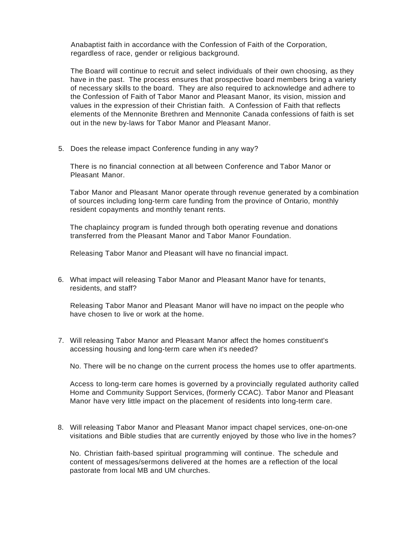Anabaptist faith in accordance with the Confession of Faith of the Corporation, regardless of race, gender or religious background.

The Board will continue to recruit and select individuals of their own choosing, as they have in the past. The process ensures that prospective board members bring a variety of necessary skills to the board. They are also required to acknowledge and adhere to the Confession of Faith of Tabor Manor and Pleasant Manor, its vision, mission and values in the expression of their Christian faith. A Confession of Faith that reflects elements of the Mennonite Brethren and Mennonite Canada confessions of faith is set out in the new by-laws for Tabor Manor and Pleasant Manor.

5. Does the release impact Conference funding in any way?

There is no financial connection at all between Conference and Tabor Manor or Pleasant Manor.

Tabor Manor and Pleasant Manor operate through revenue generated by a combination of sources including long-term care funding from the province of Ontario, monthly resident copayments and monthly tenant rents.

The chaplaincy program is funded through both operating revenue and donations transferred from the Pleasant Manor and Tabor Manor Foundation.

Releasing Tabor Manor and Pleasant will have no financial impact.

6. What impact will releasing Tabor Manor and Pleasant Manor have for tenants, residents, and staff?

Releasing Tabor Manor and Pleasant Manor will have no impact on the people who have chosen to live or work at the home.

7. Will releasing Tabor Manor and Pleasant Manor affect the homes constituent's accessing housing and long-term care when it's needed?

No. There will be no change on the current process the homes use to offer apartments.

Access to long-term care homes is governed by a provincially regulated authority called Home and Community Support Services, (formerly CCAC). Tabor Manor and Pleasant Manor have very little impact on the placement of residents into long-term care.

8. Will releasing Tabor Manor and Pleasant Manor impact chapel services, one-on-one visitations and Bible studies that are currently enjoyed by those who live in the homes?

No. Christian faith-based spiritual programming will continue. The schedule and content of messages/sermons delivered at the homes are a reflection of the local pastorate from local MB and UM churches.